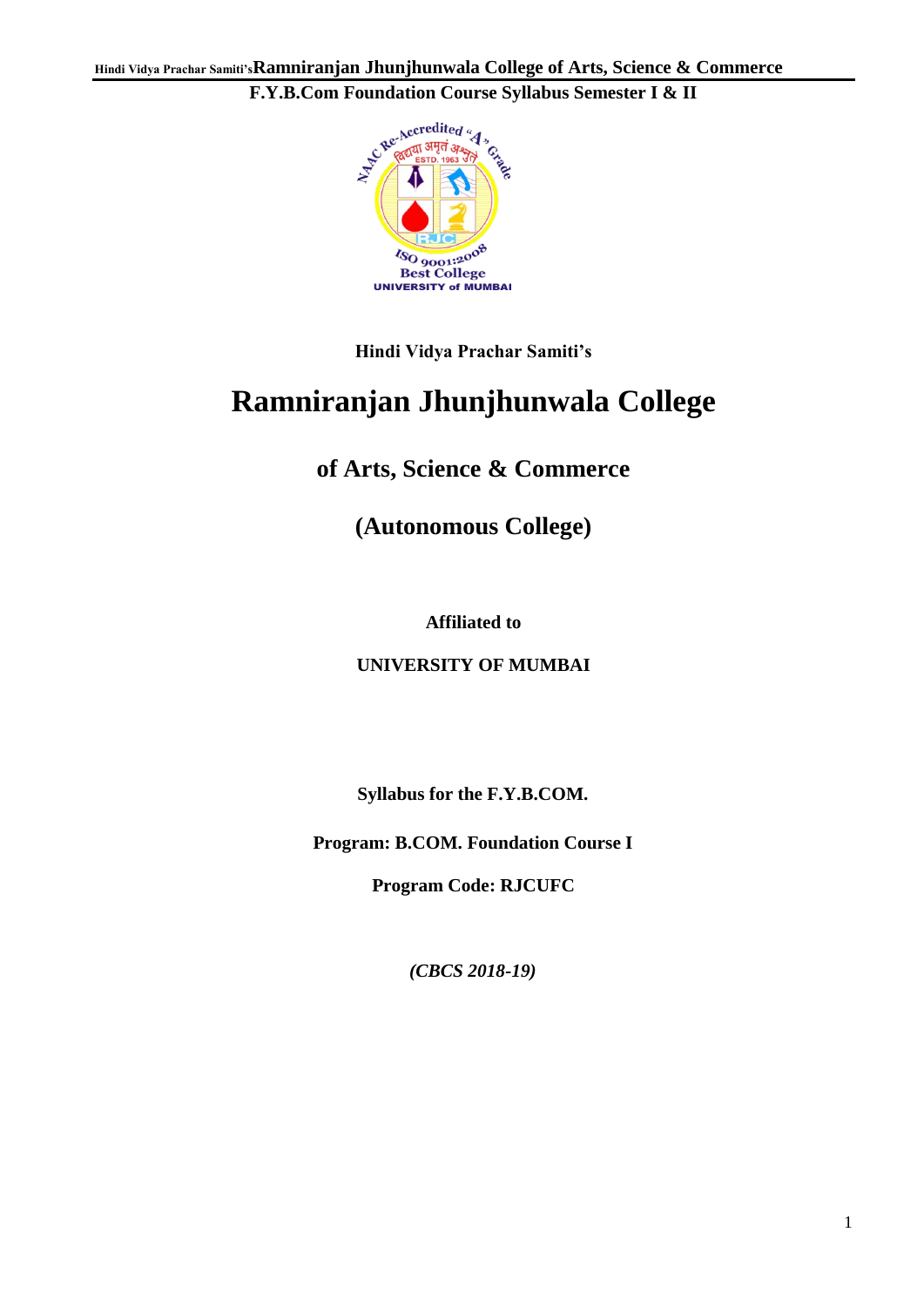

**Hindi Vidya Prachar Samiti's**

# **Ramniranjan Jhunjhunwala College**

**of Arts, Science & Commerce**

**(Autonomous College)**

**Affiliated to**

**UNIVERSITY OF MUMBAI**

**Syllabus for the F.Y.B.COM.**

**Program: B.COM. Foundation Course I**

**Program Code: RJCUFC**

*(CBCS 2018-19)*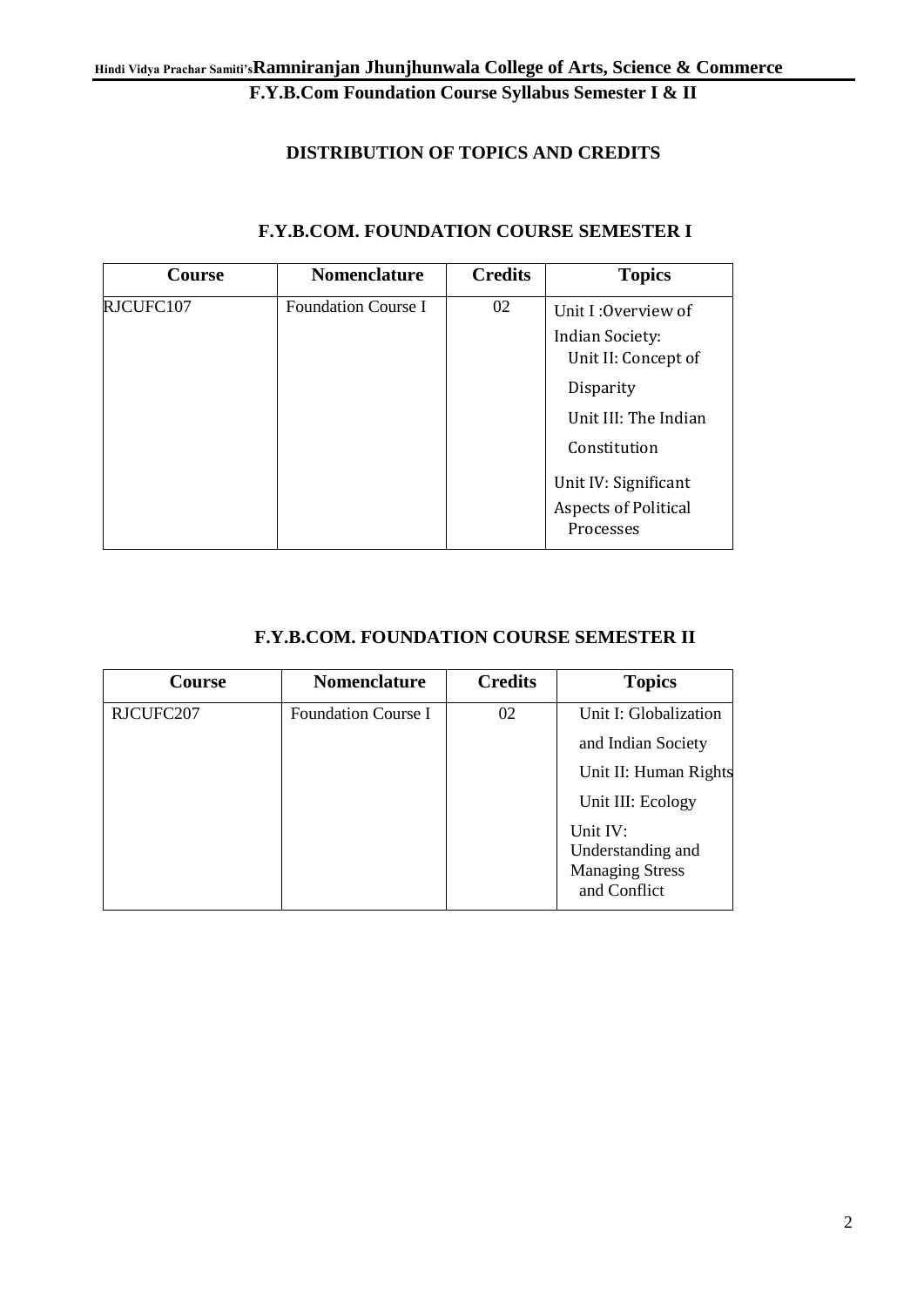#### **DISTRIBUTION OF TOPICS AND CREDITS**

| <b>Course</b> | <b>Nomenclature</b>        | <b>Credits</b> | <b>Topics</b>                                                                                                                                                                                 |
|---------------|----------------------------|----------------|-----------------------------------------------------------------------------------------------------------------------------------------------------------------------------------------------|
| RJCUFC107     | <b>Foundation Course I</b> | 02             | Unit I: Overview of<br><b>Indian Society:</b><br>Unit II: Concept of<br>Disparity<br>Unit III: The Indian<br>Constitution<br>Unit IV: Significant<br><b>Aspects of Political</b><br>Processes |

#### **F.Y.B.COM. FOUNDATION COURSE SEMESTER I**

#### **F.Y.B.COM. FOUNDATION COURSE SEMESTER II**

| <b>Course</b> | <b>Nomenclature</b>        | <b>Credits</b> | <b>Topics</b>                          |
|---------------|----------------------------|----------------|----------------------------------------|
| RJCUFC207     | <b>Foundation Course I</b> | 02             | Unit I: Globalization                  |
|               |                            |                | and Indian Society                     |
|               |                            |                | Unit II: Human Rights                  |
|               |                            |                | Unit III: Ecology                      |
|               |                            |                | Unit IV:<br>Understanding and          |
|               |                            |                | <b>Managing Stress</b><br>and Conflict |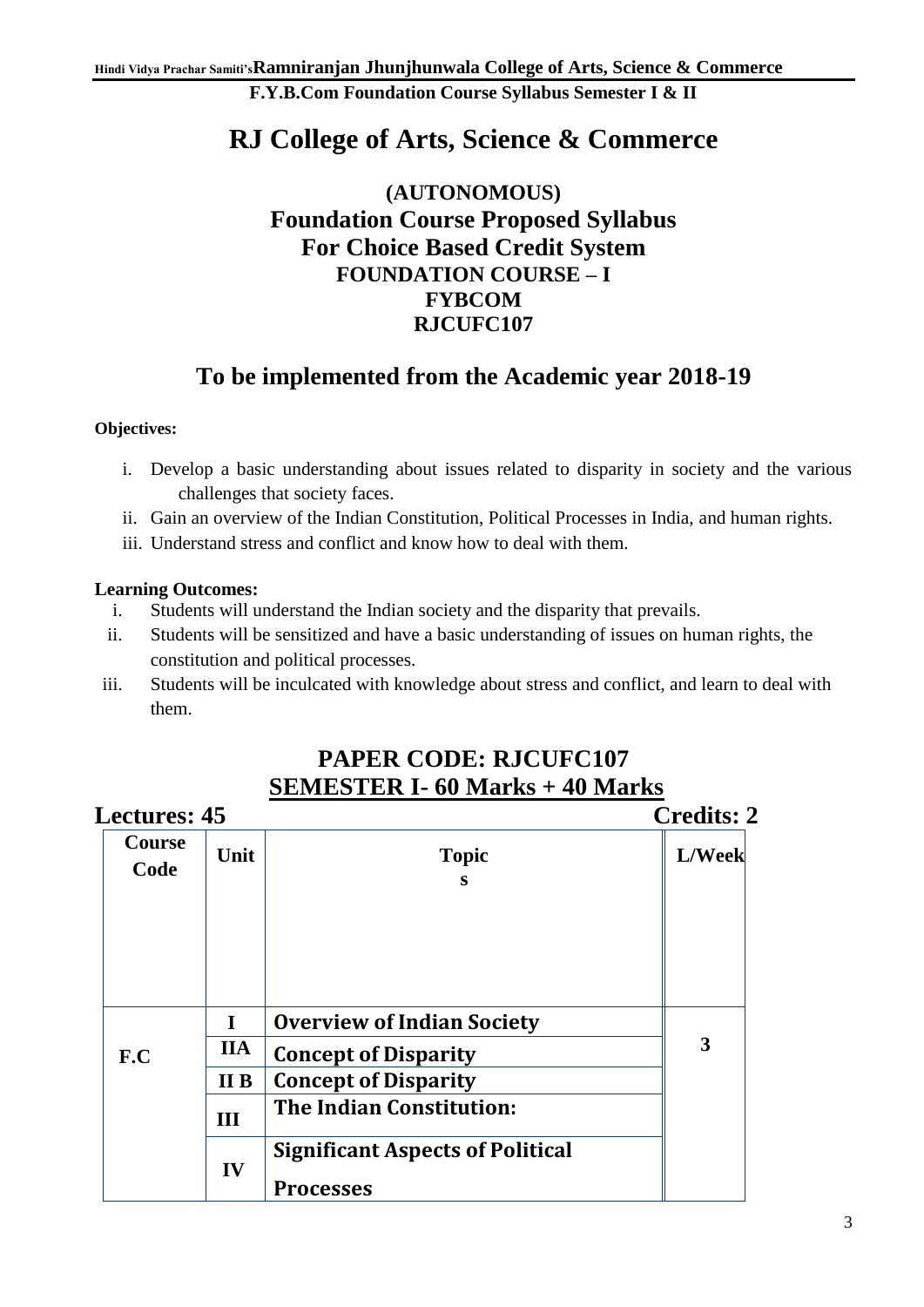## **RJ College of Arts, Science & Commerce**

### **(AUTONOMOUS) Foundation Course Proposed Syllabus For Choice Based Credit System FOUNDATION COURSE – I FYBCOM RJCUFC107**

### **To be implemented from the Academic year 2018-19**

#### **Objectives:**

- i. Develop a basic understanding about issues related to disparity in society and the various challenges that society faces.
- ii. Gain an overview of the Indian Constitution, Political Processes in India, and human rights.
- iii. Understand stress and conflict and know how to deal with them.

#### **Learning Outcomes:**

- i. Students will understand the Indian society and the disparity that prevails.
- ii. Students will be sensitized and have a basic understanding of issues on human rights, the constitution and political processes.
- iii. Students will be inculcated with knowledge about stress and conflict, and learn to deal with them.

| <b>Lectures: 45</b>   |            |                                                             | <b>Credits: 2</b> |
|-----------------------|------------|-------------------------------------------------------------|-------------------|
| <b>Course</b><br>Code | Unit       | <b>Topic</b><br>S                                           | L/Week            |
|                       | I          | <b>Overview of Indian Society</b>                           |                   |
| F.C                   | <b>IIA</b> | <b>Concept of Disparity</b>                                 | 3                 |
|                       | II B       | <b>Concept of Disparity</b>                                 |                   |
|                       | III        | <b>The Indian Constitution:</b>                             |                   |
|                       | IV         | <b>Significant Aspects of Political</b><br><b>Processes</b> |                   |

## **PAPER CODE: RJCUFC107 SEMESTER I- 60 Marks + 40 Marks**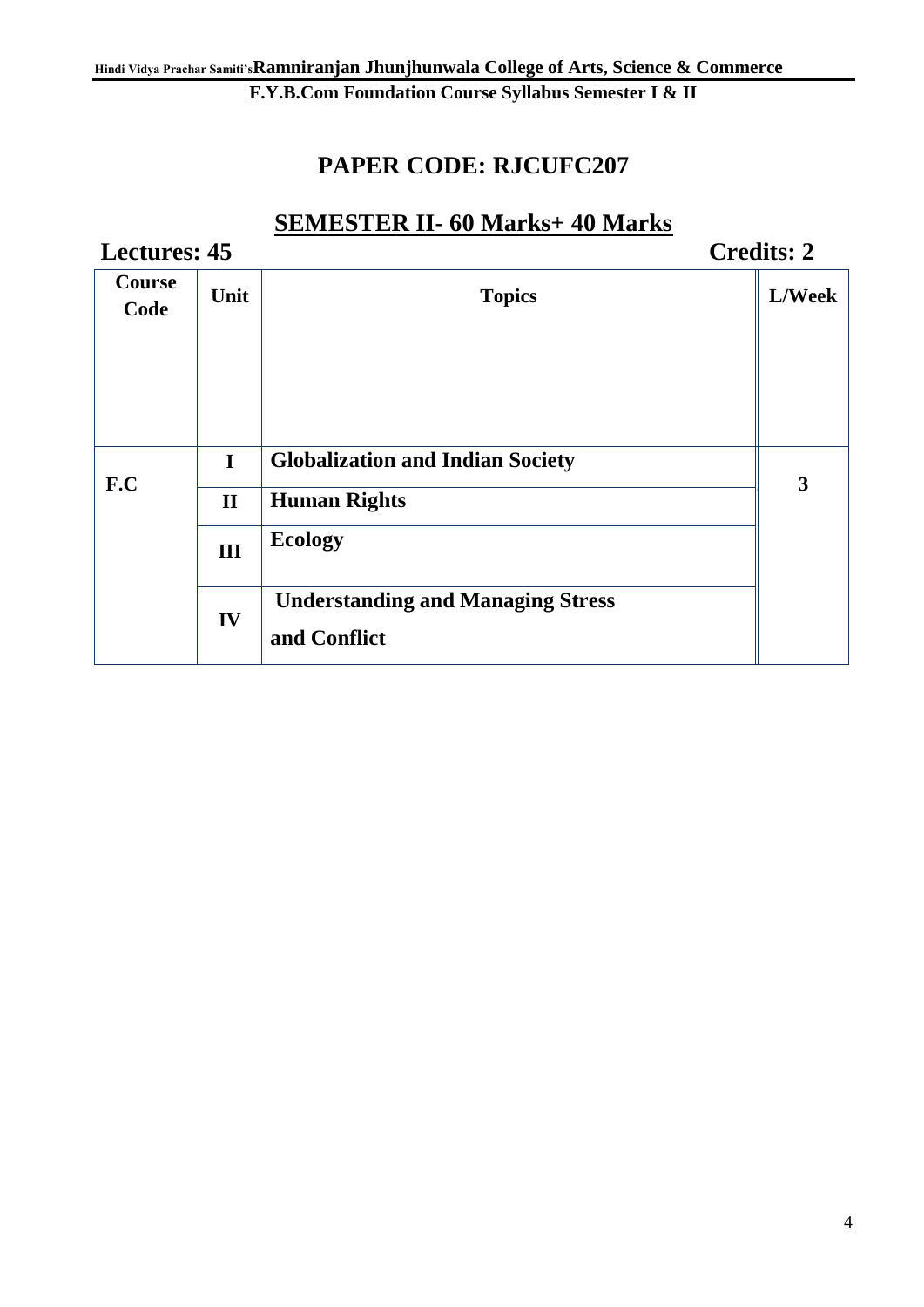## **PAPER CODE: RJCUFC207**

## **SEMESTER II- 60 Marks+ 40 Marks**

| <b>Lectures: 45</b>   |              |                                                          | <b>Credits: 2</b> |
|-----------------------|--------------|----------------------------------------------------------|-------------------|
| <b>Course</b><br>Code | Unit         | <b>Topics</b>                                            | L/Week            |
|                       | $\mathbf I$  | <b>Globalization and Indian Society</b>                  |                   |
| F.C                   | $\mathbf{I}$ | <b>Human Rights</b>                                      | 3                 |
|                       | III          | <b>Ecology</b>                                           |                   |
|                       | IV           | <b>Understanding and Managing Stress</b><br>and Conflict |                   |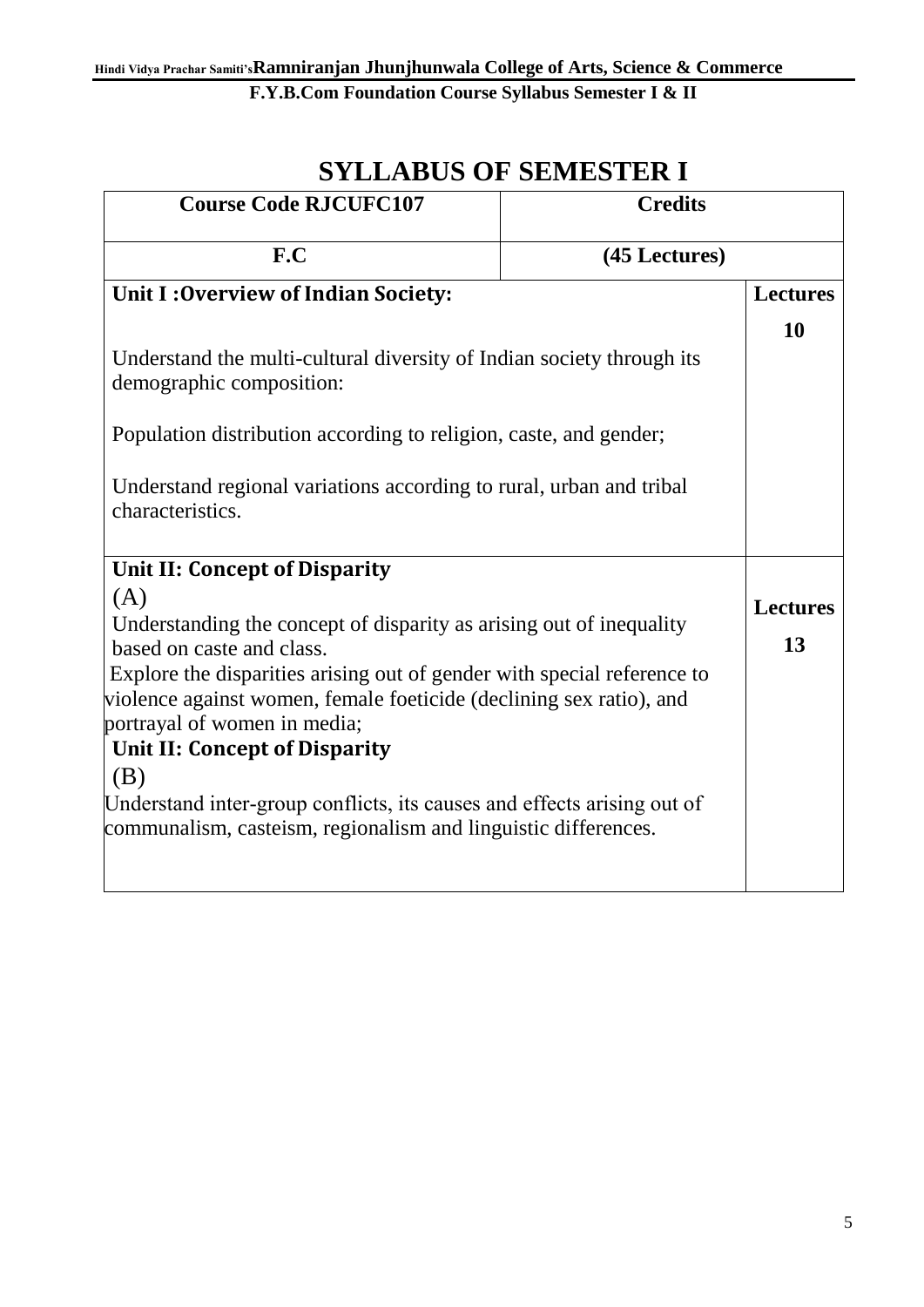## **SYLLABUS OF SEMESTER I**

| <b>Credits</b><br><b>Course Code RJCUFC107</b>                                                                                                                                                                                                                                                                             |               |                       |
|----------------------------------------------------------------------------------------------------------------------------------------------------------------------------------------------------------------------------------------------------------------------------------------------------------------------------|---------------|-----------------------|
| F.C                                                                                                                                                                                                                                                                                                                        | (45 Lectures) |                       |
| <b>Unit I: Overview of Indian Society:</b>                                                                                                                                                                                                                                                                                 |               | <b>Lectures</b>       |
| Understand the multi-cultural diversity of Indian society through its<br>demographic composition:                                                                                                                                                                                                                          |               | 10                    |
| Population distribution according to religion, caste, and gender;                                                                                                                                                                                                                                                          |               |                       |
| Understand regional variations according to rural, urban and tribal<br>characteristics.                                                                                                                                                                                                                                    |               |                       |
| Unit II: Concept of Disparity                                                                                                                                                                                                                                                                                              |               |                       |
| (A)<br>Understanding the concept of disparity as arising out of inequality<br>based on caste and class.<br>Explore the disparities arising out of gender with special reference to<br>violence against women, female foeticide (declining sex ratio), and<br>portrayal of women in media;<br>Unit II: Concept of Disparity |               | <b>Lectures</b><br>13 |
| (B)<br>Understand inter-group conflicts, its causes and effects arising out of<br>communalism, casteism, regionalism and linguistic differences.                                                                                                                                                                           |               |                       |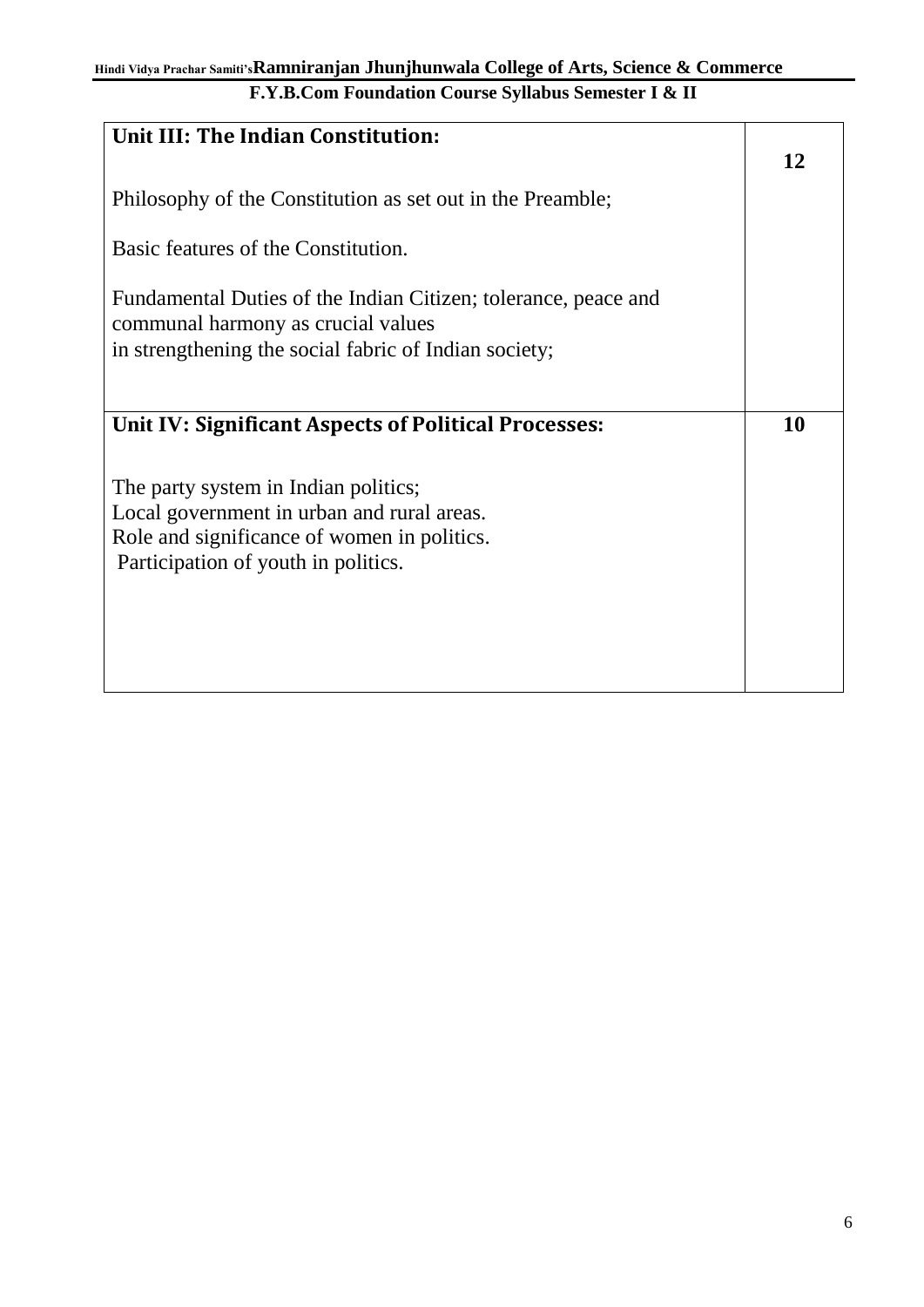| Unit III: The Indian Constitution:                             |    |
|----------------------------------------------------------------|----|
|                                                                |    |
|                                                                | 12 |
| Philosophy of the Constitution as set out in the Preamble;     |    |
|                                                                |    |
|                                                                |    |
| Basic features of the Constitution.                            |    |
|                                                                |    |
| Fundamental Duties of the Indian Citizen; tolerance, peace and |    |
| communal harmony as crucial values                             |    |
| in strengthening the social fabric of Indian society;          |    |
|                                                                |    |
|                                                                |    |
|                                                                |    |
|                                                                |    |
| Unit IV: Significant Aspects of Political Processes:           | 10 |
|                                                                |    |
|                                                                |    |
| The party system in Indian politics;                           |    |
| Local government in urban and rural areas.                     |    |
|                                                                |    |
| Role and significance of women in politics.                    |    |
| Participation of youth in politics.                            |    |
|                                                                |    |
|                                                                |    |
|                                                                |    |
|                                                                |    |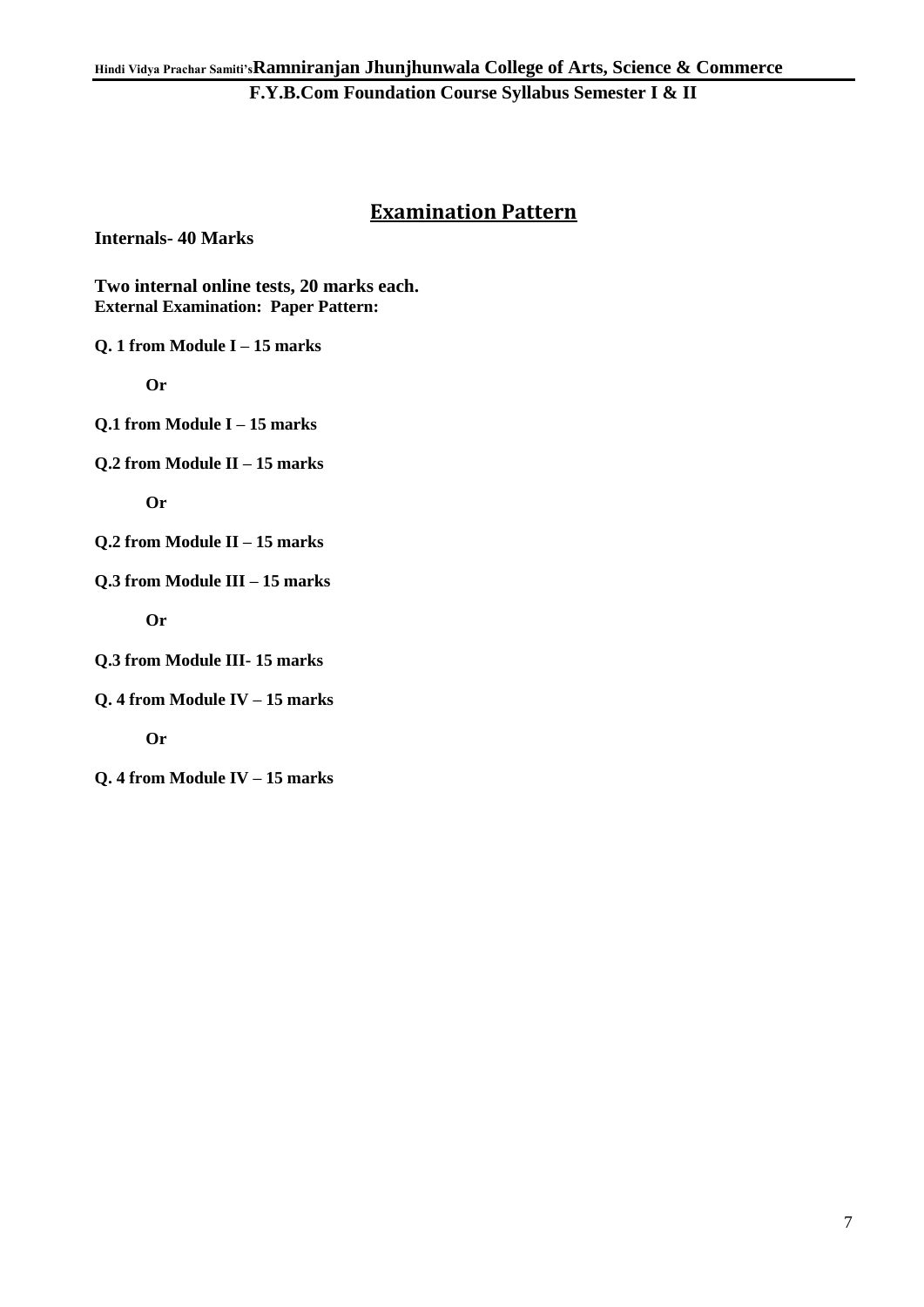### **Examination Pattern**

**Internals- 40 Marks**

**Two internal online tests, 20 marks each. External Examination: Paper Pattern:**

**Q. 1 from Module I – 15 marks**

 **Or**

**Q.1 from Module I – 15 marks**

**Q.2 from Module II – 15 marks**

 **Or**

**Q.2 from Module II – 15 marks**

**Q.3 from Module III – 15 marks**

 **Or**

**Q.3 from Module III- 15 marks**

**Q. 4 from Module IV – 15 marks**

 **Or** 

**Q. 4 from Module IV – 15 marks**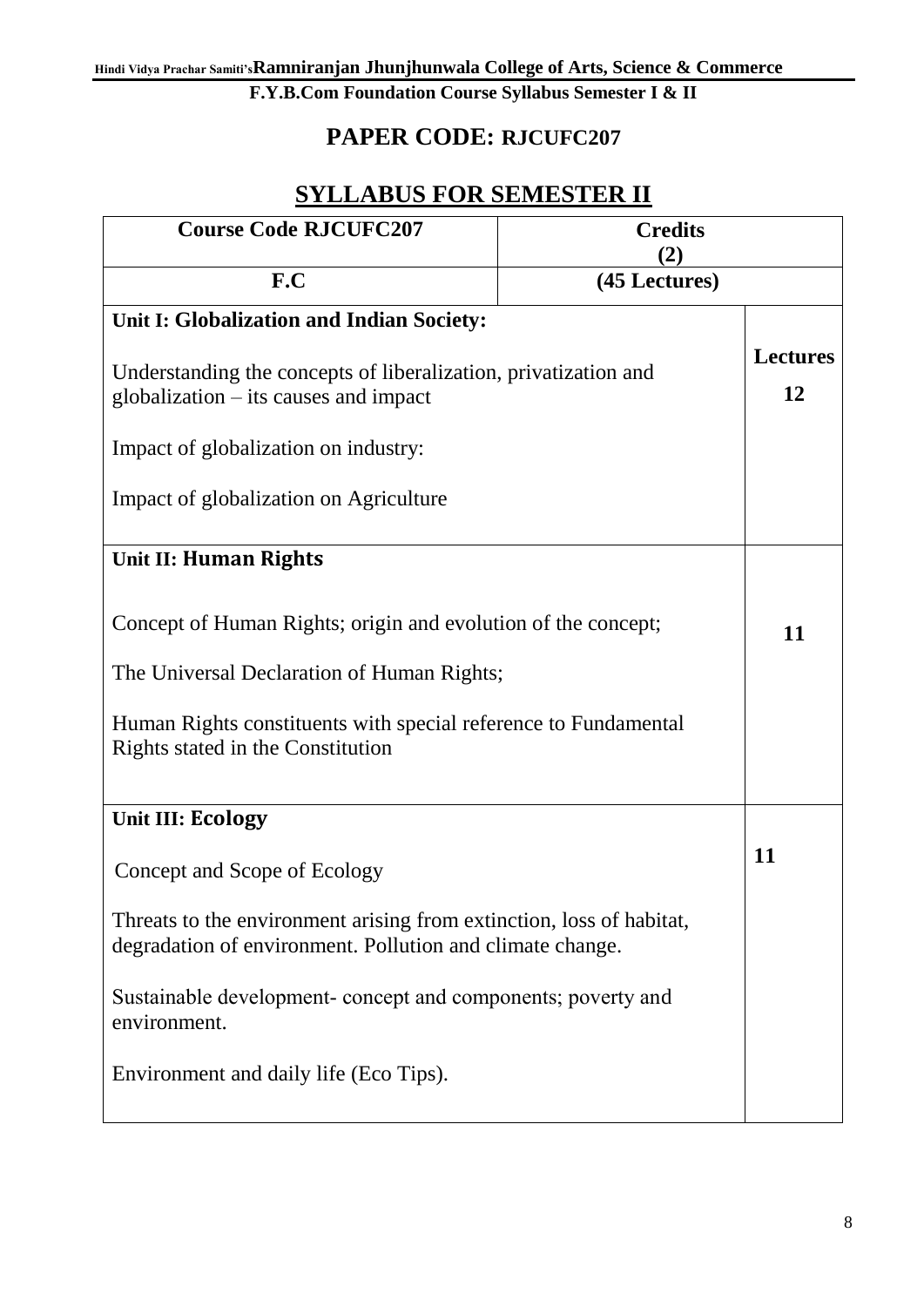## **PAPER CODE: RJCUFC207**

## **SYLLABUS FOR SEMESTER II**

| <b>Course Code RJCUFC207</b>                                                                                                                                                                                        | <b>Credits</b><br>(2) |                       |
|---------------------------------------------------------------------------------------------------------------------------------------------------------------------------------------------------------------------|-----------------------|-----------------------|
| F.C<br>(45 Lectures)                                                                                                                                                                                                |                       |                       |
| Unit I: Globalization and Indian Society:                                                                                                                                                                           |                       |                       |
| Understanding the concepts of liberalization, privatization and<br>$globalization - its causes and impact$                                                                                                          |                       | <b>Lectures</b><br>12 |
| Impact of globalization on industry:                                                                                                                                                                                |                       |                       |
| Impact of globalization on Agriculture                                                                                                                                                                              |                       |                       |
| <b>Unit II: Human Rights</b>                                                                                                                                                                                        |                       |                       |
| Concept of Human Rights; origin and evolution of the concept;<br>The Universal Declaration of Human Rights;<br>Human Rights constituents with special reference to Fundamental<br>Rights stated in the Constitution |                       |                       |
| <b>Unit III: Ecology</b>                                                                                                                                                                                            |                       |                       |
| Concept and Scope of Ecology                                                                                                                                                                                        |                       | 11                    |
| Threats to the environment arising from extinction, loss of habitat,<br>degradation of environment. Pollution and climate change.                                                                                   |                       |                       |
| Sustainable development-concept and components; poverty and<br>environment.                                                                                                                                         |                       |                       |
| Environment and daily life (Eco Tips).                                                                                                                                                                              |                       |                       |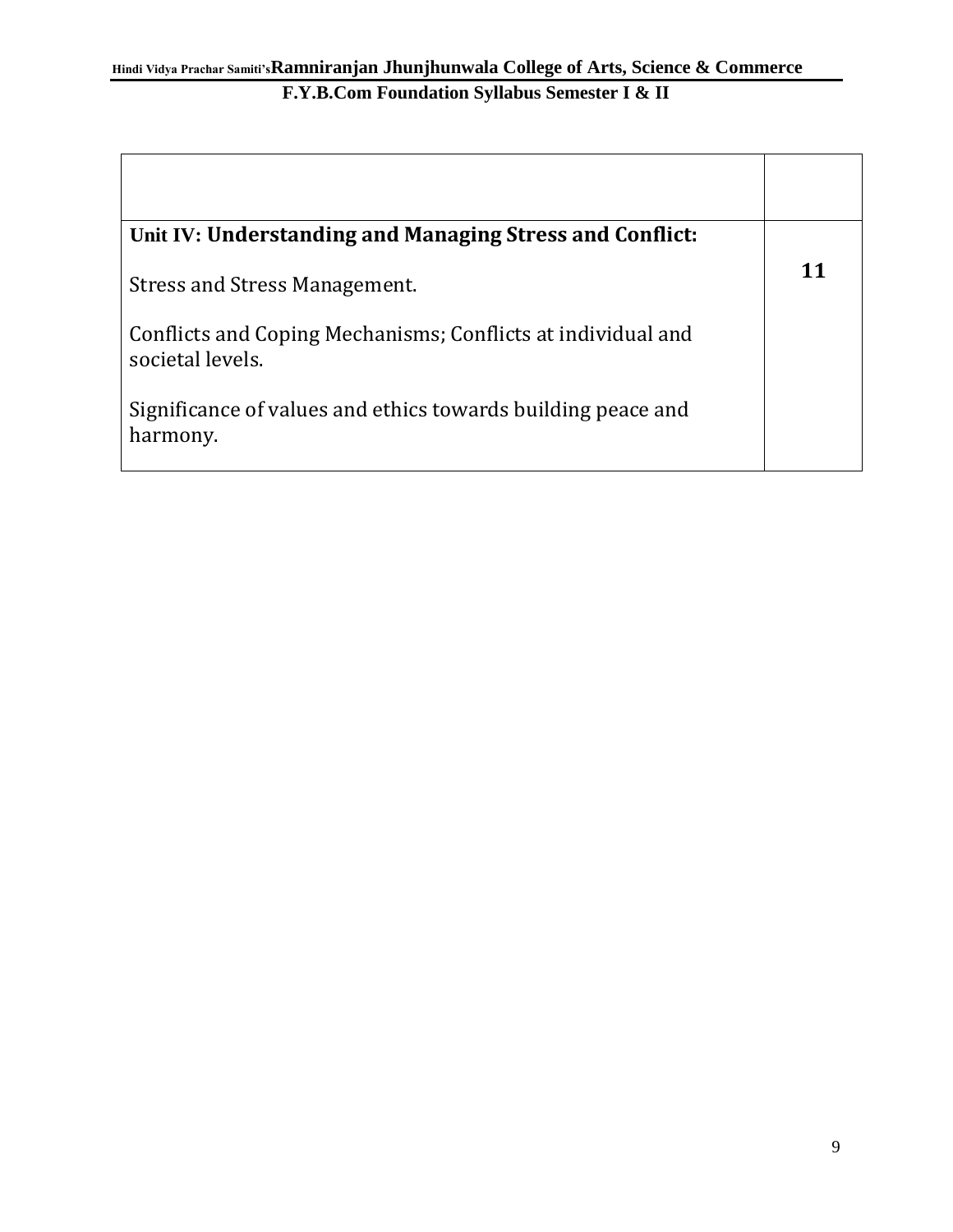| Unit IV: Understanding and Managing Stress and Conflict:                         |    |
|----------------------------------------------------------------------------------|----|
| Stress and Stress Management.                                                    | 11 |
| Conflicts and Coping Mechanisms; Conflicts at individual and<br>societal levels. |    |
| Significance of values and ethics towards building peace and<br>harmony.         |    |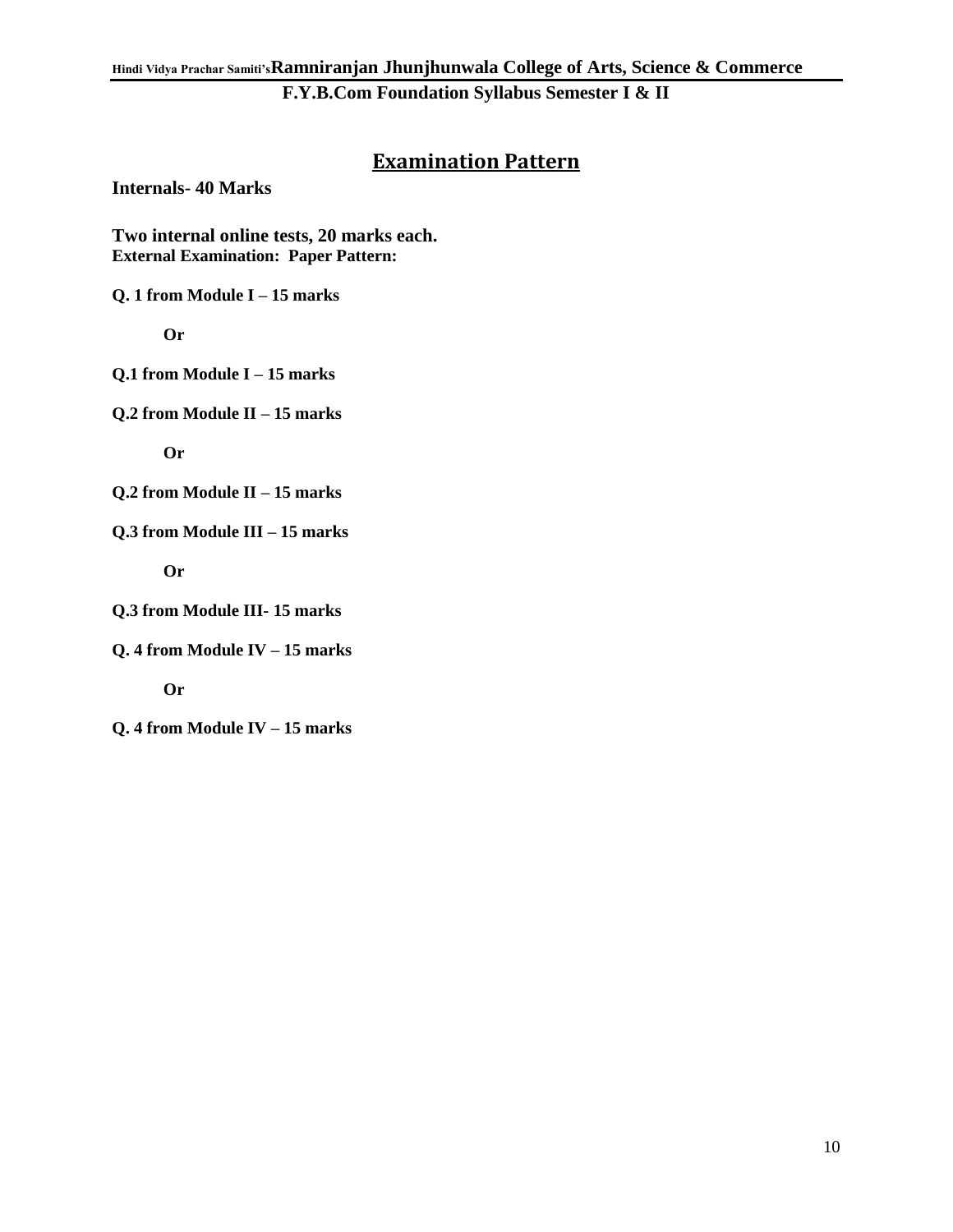#### **Examination Pattern**

**Internals- 40 Marks**

**Two internal online tests, 20 marks each. External Examination: Paper Pattern:**

**Q. 1 from Module I – 15 marks**

 **Or**

**Q.1 from Module I – 15 marks**

**Q.2 from Module II – 15 marks**

 **Or**

**Q.2 from Module II – 15 marks**

**Q.3 from Module III – 15 marks**

 **Or**

**Q.3 from Module III- 15 marks**

**Q. 4 from Module IV – 15 marks**

 **Or** 

**Q. 4 from Module IV – 15 marks**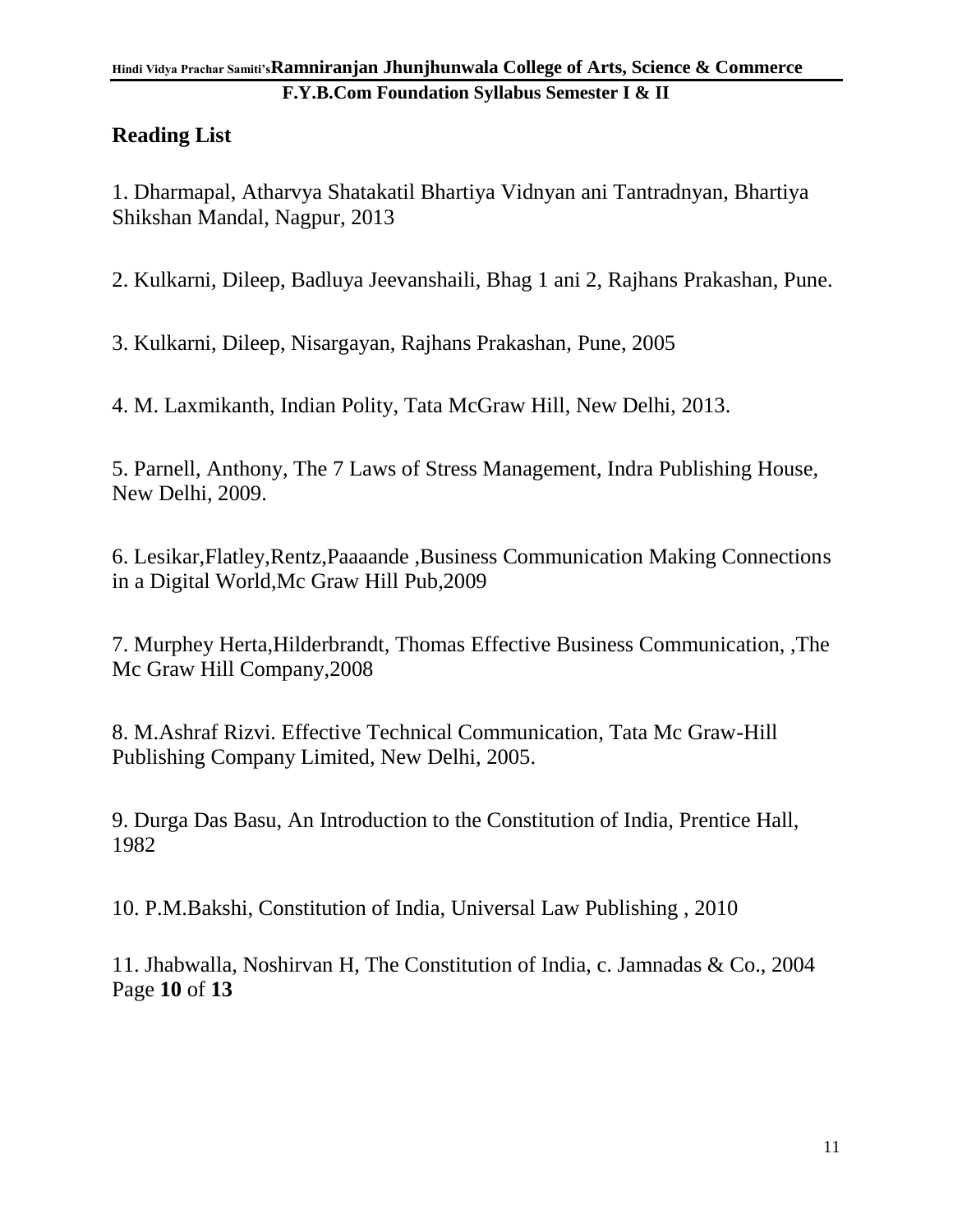#### **Hindi Vidya Prachar Samiti'sRamniranjan Jhunjhunwala College of Arts, Science & Commerce F.Y.B.Com Foundation Syllabus Semester I & II**

### **Reading List**

1. Dharmapal, Atharvya Shatakatil Bhartiya Vidnyan ani Tantradnyan, Bhartiya Shikshan Mandal, Nagpur, 2013

2. Kulkarni, Dileep, Badluya Jeevanshaili, Bhag 1 ani 2, Rajhans Prakashan, Pune.

3. Kulkarni, Dileep, Nisargayan, Rajhans Prakashan, Pune, 2005

4. M. Laxmikanth, Indian Polity, Tata McGraw Hill, New Delhi, 2013.

5. Parnell, Anthony, The 7 Laws of Stress Management, Indra Publishing House, New Delhi, 2009.

6. Lesikar,Flatley,Rentz,Paaaande ,Business Communication Making Connections in a Digital World,Mc Graw Hill Pub,2009

7. Murphey Herta,Hilderbrandt, Thomas Effective Business Communication, ,The Mc Graw Hill Company,2008

8. M.Ashraf Rizvi. Effective Technical Communication, Tata Mc Graw-Hill Publishing Company Limited, New Delhi, 2005.

9. Durga Das Basu, An Introduction to the Constitution of India, Prentice Hall, 1982

10. P.M.Bakshi, Constitution of India, Universal Law Publishing , 2010

11. Jhabwalla, Noshirvan H, The Constitution of India, c. Jamnadas & Co., 2004 Page **10** of **13**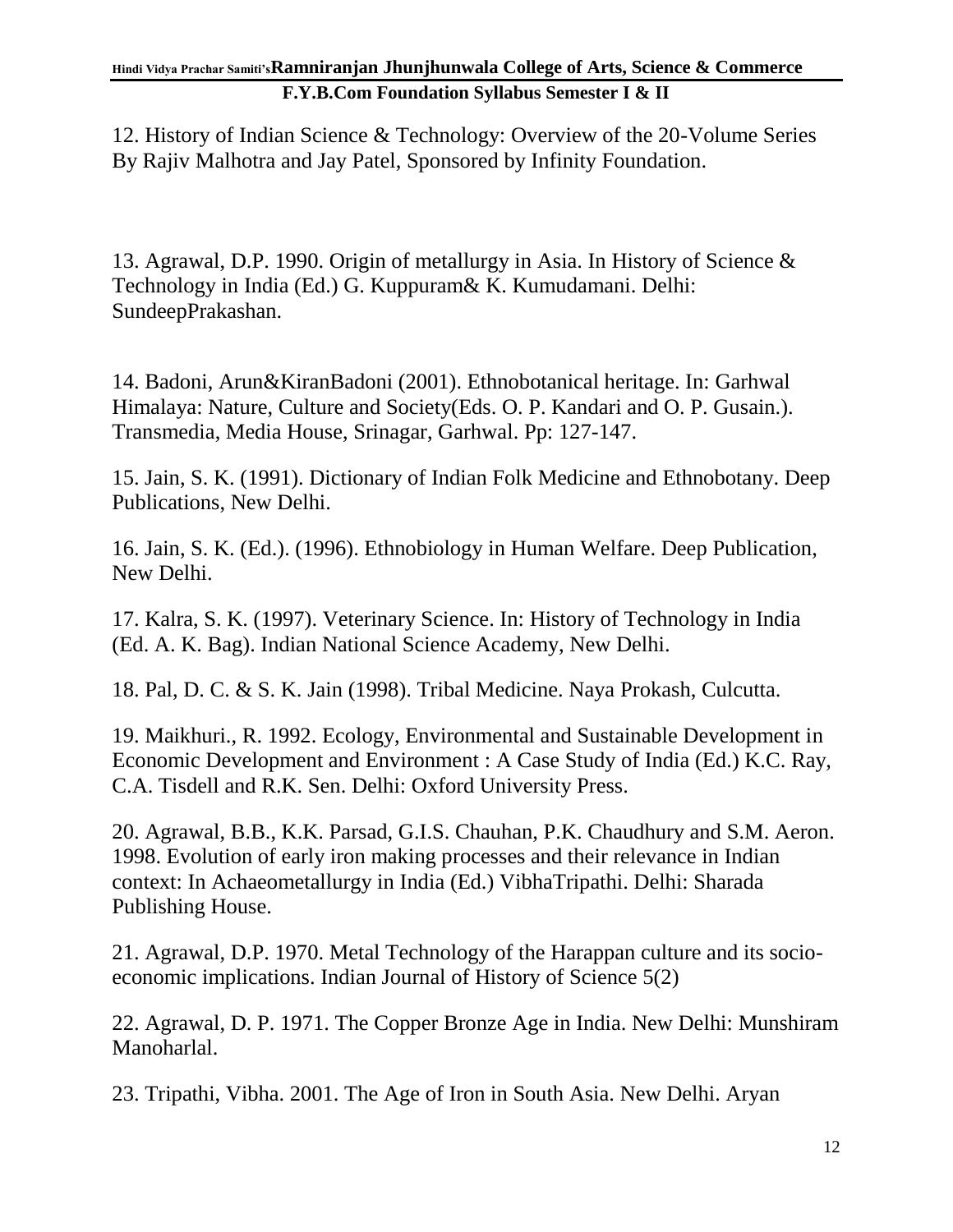#### **Hindi Vidya Prachar Samiti'sRamniranjan Jhunjhunwala College of Arts, Science & Commerce F.Y.B.Com Foundation Syllabus Semester I & II**

12. History of Indian Science & Technology: Overview of the 20-Volume Series By Rajiv Malhotra and Jay Patel, Sponsored by Infinity Foundation.

13. Agrawal, D.P. 1990. Origin of metallurgy in Asia. In History of Science & Technology in India (Ed.) G. Kuppuram& K. Kumudamani. Delhi: SundeepPrakashan.

14. Badoni, Arun&KiranBadoni (2001). Ethnobotanical heritage. In: Garhwal Himalaya: Nature, Culture and Society(Eds. O. P. Kandari and O. P. Gusain.). Transmedia, Media House, Srinagar, Garhwal. Pp: 127-147.

15. Jain, S. K. (1991). Dictionary of Indian Folk Medicine and Ethnobotany. Deep Publications, New Delhi.

16. Jain, S. K. (Ed.). (1996). Ethnobiology in Human Welfare. Deep Publication, New Delhi.

17. Kalra, S. K. (1997). Veterinary Science. In: History of Technology in India (Ed. A. K. Bag). Indian National Science Academy, New Delhi.

18. Pal, D. C. & S. K. Jain (1998). Tribal Medicine. Naya Prokash, Culcutta.

19. Maikhuri., R. 1992. Ecology, Environmental and Sustainable Development in Economic Development and Environment : A Case Study of India (Ed.) K.C. Ray, C.A. Tisdell and R.K. Sen. Delhi: Oxford University Press.

20. Agrawal, B.B., K.K. Parsad, G.I.S. Chauhan, P.K. Chaudhury and S.M. Aeron. 1998. Evolution of early iron making processes and their relevance in Indian context: In Achaeometallurgy in India (Ed.) VibhaTripathi. Delhi: Sharada Publishing House.

21. Agrawal, D.P. 1970. Metal Technology of the Harappan culture and its socioeconomic implications. Indian Journal of History of Science 5(2)

22. Agrawal, D. P. 1971. The Copper Bronze Age in India. New Delhi: Munshiram Manoharlal.

23. Tripathi, Vibha. 2001. The Age of Iron in South Asia. New Delhi. Aryan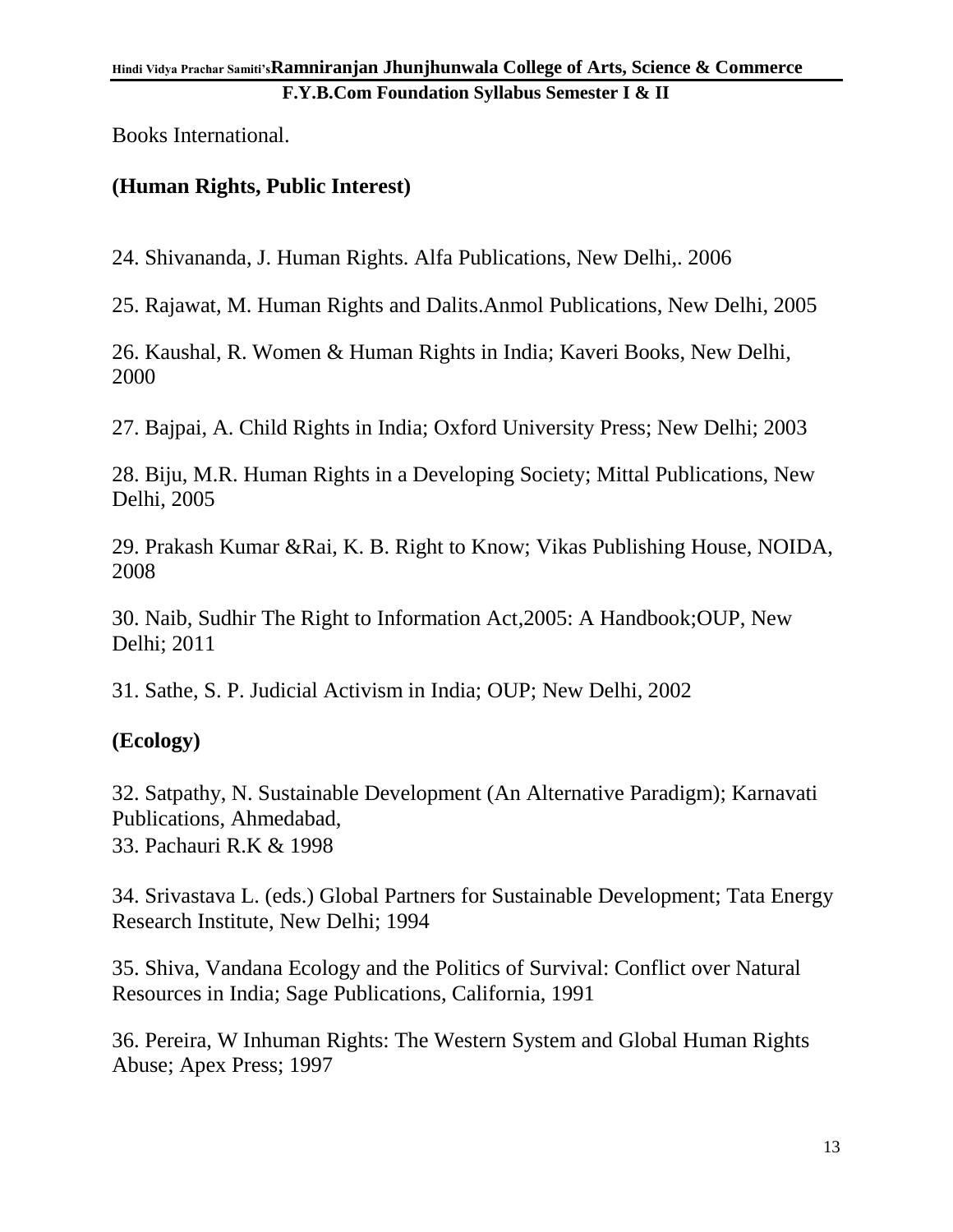Books International.

### **(Human Rights, Public Interest)**

24. Shivananda, J. Human Rights. Alfa Publications, New Delhi,. 2006

25. Rajawat, M. Human Rights and Dalits.Anmol Publications, New Delhi, 2005

26. Kaushal, R. Women & Human Rights in India; Kaveri Books, New Delhi, 2000

27. Bajpai, A. Child Rights in India; Oxford University Press; New Delhi; 2003

28. Biju, M.R. Human Rights in a Developing Society; Mittal Publications, New Delhi, 2005

29. Prakash Kumar &Rai, K. B. Right to Know; Vikas Publishing House, NOIDA, 2008

30. Naib, Sudhir The Right to Information Act,2005: A Handbook;OUP, New Delhi; 2011

31. Sathe, S. P. Judicial Activism in India; OUP; New Delhi, 2002

### **(Ecology)**

32. Satpathy, N. Sustainable Development (An Alternative Paradigm); Karnavati Publications, Ahmedabad, 33. Pachauri R.K & 1998

34. Srivastava L. (eds.) Global Partners for Sustainable Development; Tata Energy Research Institute, New Delhi; 1994

35. Shiva, Vandana Ecology and the Politics of Survival: Conflict over Natural Resources in India; Sage Publications, California, 1991

36. Pereira, W Inhuman Rights: The Western System and Global Human Rights Abuse; Apex Press; 1997